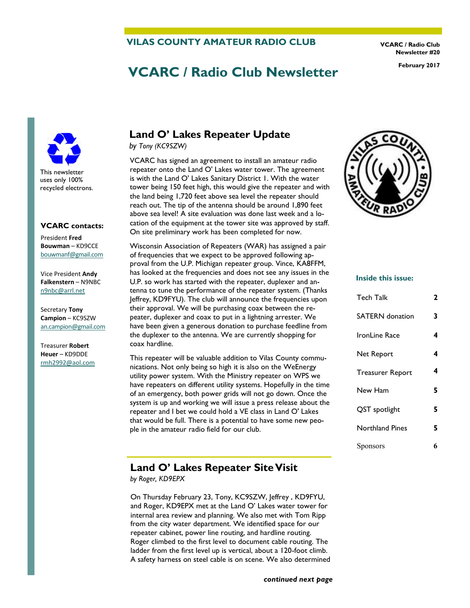#### **VILAS COUNTY AMATEUR RADIO CLUB**

**VCARC / Radio Club Newsletter #20** 

# **VCARC / Radio Club Newsletter February 2017**

This newsletter uses only 100% recycled electrons.

#### **VCARC contacts:**

President **Fred Bouwman** – KD9CCE [bouwmanf@gmail.com](mailto:an.campion@gmail.com)

Vice President **Andy Falkenstern** – N9NBC [n9nbc@arrl.net](mailto:n9nbc@arrl.net)

Secretary **Tony Campion** – KC9SZW [an.campion@gmail.com](mailto:an.campion@gmail.com)

Treasurer **Robert Heuer** – KD9DDE rmh2992@aol.com

# **Land O' Lakes Repeater Update**

*by Tony (KC9SZW)* 

VCARC has signed an agreement to install an amateur radio repeater onto the Land O' Lakes water tower. The agreement is with the Land O' Lakes Sanitary District 1. With the water tower being 150 feet high, this would give the repeater and with the land being 1,720 feet above sea level the repeater should reach out. The tip of the antenna should be around 1,890 feet above sea level! A site evaluation was done last week and a location of the equipment at the tower site was approved by staff. On site preliminary work has been completed for now.

Wisconsin Association of Repeaters (WAR) has assigned a pair of frequencies that we expect to be approved following approval from the U.P. Michigan repeater group. Vince, KA8FFM, has looked at the frequencies and does not see any issues in the U.P. so work has started with the repeater, duplexer and antenna to tune the performance of the repeater system. (Thanks Jeffrey, KD9FYU). The club will announce the frequencies upon their approval. We will be purchasing coax between the repeater, duplexer and coax to put in a lightning arrester. We have been given a generous donation to purchase feedline from the duplexer to the antenna. We are currently shopping for coax hardline.

This repeater will be valuable addition to Vilas County communications. Not only being so high it is also on the WeEnergy utility power system. With the Ministry repeater on WPS we have repeaters on different utility systems. Hopefully in the time of an emergency, both power grids will not go down. Once the system is up and working we will issue a press release about the repeater and I bet we could hold a VE class in Land O' Lakes that would be full. There is a potential to have some new people in the amateur radio field for our club.

### **Land O' Lakes Repeater Site Visit**

*by Roger, KD9EPX* 

On Thursday February 23, Tony, KC9SZW, Jeffrey , KD9FYU, and Roger, KD9EPX met at the Land O' Lakes water tower for internal area review and planning. We also met with Tom Ripp from the city water department. We identified space for our repeater cabinet, power line routing, and hardline routing. Roger climbed to the first level to document cable routing. The ladder from the first level up is vertical, about a 120-foot climb. A safety harness on steel cable is on scene. We also determined



#### **Inside this issue:**

| Tech Talk              | 2 |
|------------------------|---|
| <b>SATERN</b> donation | 3 |
| IronLine Race          | 4 |
| Net Report             | 4 |
| Treasurer Report       | 4 |
| New Ham                | 5 |
| QST spotlight          | 5 |
| Northland Pines        | 5 |
| Sponsors               | 6 |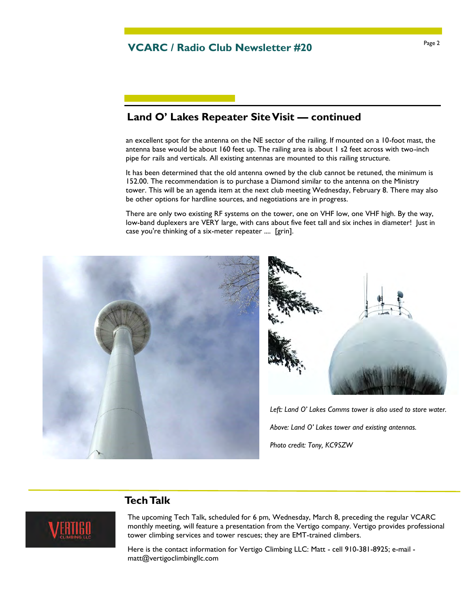### **Land O' Lakes Repeater Site Visit — continued**

an excellent spot for the antenna on the NE sector of the railing. If mounted on a 10-foot mast, the antenna base would be about 160 feet up. The railing area is about 1 s2 feet across with two-inch pipe for rails and verticals. All existing antennas are mounted to this railing structure.

It has been determined that the old antenna owned by the club cannot be retuned, the minimum is 152.00. The recommendation is to purchase a Diamond similar to the antenna on the Ministry tower. This will be an agenda item at the next club meeting Wednesday, February 8. There may also be other options for hardline sources, and negotiations are in progress.

There are only two existing RF systems on the tower, one on VHF low, one VHF high. By the way, low-band duplexers are VERY large, with cans about five feet tall and six inches in diameter! Just in case you're thinking of a six-meter repeater .... [grin].



### **Tech Talk**



The upcoming Tech Talk, scheduled for 6 pm, Wednesday, March 8, preceding the regular VCARC monthly meeting, will feature a presentation from the Vertigo company. Vertigo provides professional tower climbing services and tower rescues; they are EMT-trained climbers.

Here is the contact information for Vertigo Climbing LLC: Matt - cell 910-381-8925; e-mail matt@vertigoclimbingllc.com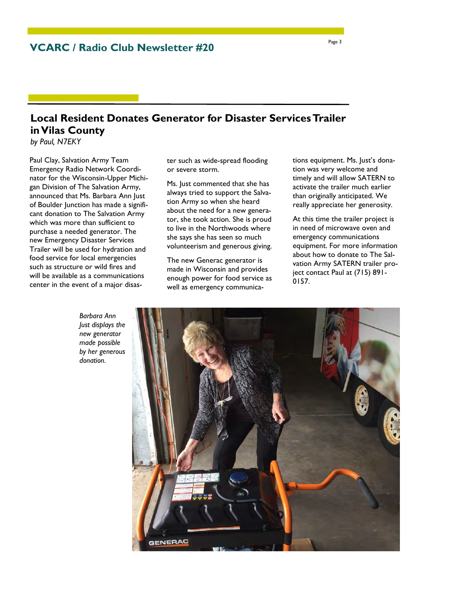**VCARC / Radio Club Newsletter #20** 

# **Local Resident Donates Generator for Disaster Services Trailer in Vilas County**

*by Paul, N7EKY*

Paul Clay, Salvation Army Team Emergency Radio Network Coordinator for the Wisconsin-Upper Michigan Division of The Salvation Army, announced that Ms. Barbara Ann Just of Boulder Junction has made a significant donation to The Salvation Army which was more than sufficient to purchase a needed generator. The new Emergency Disaster Services Trailer will be used for hydration and food service for local emergencies such as structure or wild fires and will be available as a communications center in the event of a major disaster such as wide-spread flooding or severe storm.

Ms. Just commented that she has always tried to support the Salvation Army so when she heard about the need for a new generator, she took action. She is proud to live in the Northwoods where she says she has seen so much volunteerism and generous giving.

The new Generac generator is made in Wisconsin and provides enough power for food service as well as emergency communications equipment. Ms. Just's donation was very welcome and timely and will allow SATERN to activate the trailer much earlier than originally anticipated. We really appreciate her generosity.

At this time the trailer project is in need of microwave oven and emergency communications equipment. For more information about how to donate to The Salvation Army SATERN trailer project contact Paul at (715) 891- 0157.



*Barbara Ann Just displays the new generator made possible by her generous donation.*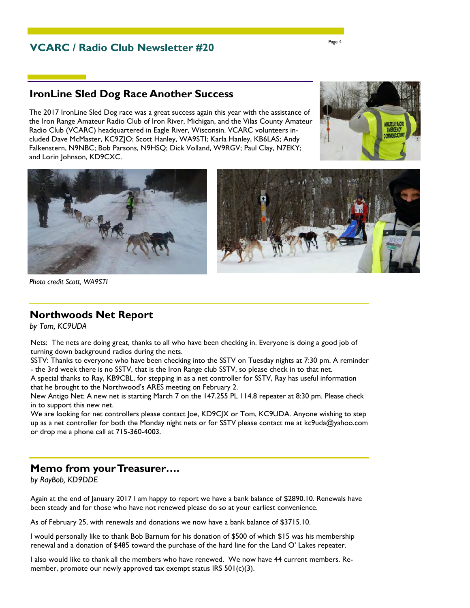### **VCARC / Radio Club Newsletter #20**

# **IronLine Sled Dog Race Another Success**

The 2017 IronLine Sled Dog race was a great success again this year with the assistance of the Iron Range Amateur Radio Club of Iron River, Michigan, and the Vilas County Amateur Radio Club (VCARC) headquartered in Eagle River, Wisconsin. VCARC volunteers included Dave McMaster, KC9ZJO; Scott Hanley, WA9STI; Karla Hanley, KB6LAS; Andy Falkenstern, N9NBC; Bob Parsons, N9HSQ; Dick Volland, W9RGV; Paul Clay, N7EKY; and Lorin Johnson, KD9CXC.







*Photo credit Scott, WA9STI* 

#### **Northwoods Net Report**

*by Tom, KC9UDA*

Nets: The nets are doing great, thanks to all who have been checking in. Everyone is doing a good job of turning down background radios during the nets.

SSTV: Thanks to everyone who have been checking into the SSTV on Tuesday nights at 7:30 pm. A reminder - the 3rd week there is no SSTV, that is the Iron Range club SSTV, so please check in to that net.

A special thanks to Ray, KB9CBL, for stepping in as a net controller for SSTV, Ray has useful information that he brought to the Northwood's ARES meeting on February 2.

New Antigo Net: A new net is starting March 7 on the 147.255 PL 114.8 repeater at 8:30 pm. Please check in to support this new net.

We are looking for net controllers please contact |oe, KD9C|X or Tom, KC9UDA. Anyone wishing to step up as a net controller for both the Monday night nets or for SSTV please contact me at kc9uda@yahoo.com or drop me a phone call at 715-360-4003.

#### **Memo from your Treasurer….**

*by RayBob, KD9DDE*

Again at the end of January 2017 I am happy to report we have a bank balance of \$2890.10. Renewals have been steady and for those who have not renewed please do so at your earliest convenience.

As of February 25, with renewals and donations we now have a bank balance of \$3715.10.

I would personally like to thank Bob Barnum for his donation of \$500 of which \$15 was his membership renewal and a donation of \$485 toward the purchase of the hard line for the Land O' Lakes repeater.

I also would like to thank all the members who have renewed. We now have 44 current members. Remember, promote our newly approved tax exempt status IRS 501(c)(3).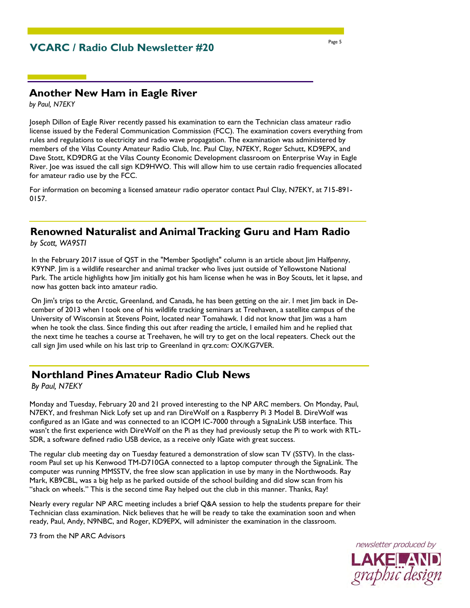# **VCARC / Radio Club Newsletter #20**

### **Another New Ham in Eagle River**

*by Paul, N7EKY* 

Joseph Dillon of Eagle River recently passed his examination to earn the Technician class amateur radio license issued by the Federal Communication Commission (FCC). The examination covers everything from rules and regulations to electricity and radio wave propagation. The examination was administered by members of the Vilas County Amateur Radio Club, Inc. Paul Clay, N7EKY, Roger Schutt, KD9EPX, and Dave Stott, KD9DRG at the Vilas County Economic Development classroom on Enterprise Way in Eagle River. Joe was issued the call sign KD9HWO. This will allow him to use certain radio frequencies allocated for amateur radio use by the FCC.

For information on becoming a licensed amateur radio operator contact Paul Clay, N7EKY, at 715-891- 0157.

# **Renowned Naturalist and Animal Tracking Guru and Ham Radio**

*by Scott, WA9STI* 

In the February 2017 issue of QST in the "Member Spotlight" column is an article about Jim Halfpenny, K9YNP. Jim is a wildlife researcher and animal tracker who lives just outside of Yellowstone National Park. The article highlights how Jim initially got his ham license when he was in Boy Scouts, let it lapse, and now has gotten back into amateur radio.

On Jim's trips to the Arctic, Greenland, and Canada, he has been getting on the air. I met Jim back in December of 2013 when I took one of his wildlife tracking seminars at Treehaven, a satellite campus of the University of Wisconsin at Stevens Point, located near Tomahawk. I did not know that Jim was a ham when he took the class. Since finding this out after reading the article, I emailed him and he replied that the next time he teaches a course at Treehaven, he will try to get on the local repeaters. Check out the call sign Jim used while on his last trip to Greenland in qrz.com: OX/KG7VER.

### **Northland Pines Amateur Radio Club News**

*By Paul, N7EKY* 

Monday and Tuesday, February 20 and 21 proved interesting to the NP ARC members. On Monday, Paul, N7EKY, and freshman Nick Lofy set up and ran DireWolf on a Raspberry Pi 3 Model B. DireWolf was configured as an IGate and was connected to an ICOM IC-7000 through a SignaLink USB interface. This wasn't the first experience with DireWolf on the Pi as they had previously setup the Pi to work with RTL-SDR, a software defined radio USB device, as a receive only IGate with great success.

The regular club meeting day on Tuesday featured a demonstration of slow scan TV (SSTV). In the classroom Paul set up his Kenwood TM-D710GA connected to a laptop computer through the SignaLink. The computer was running MMSSTV, the free slow scan application in use by many in the Northwoods. Ray Mark, KB9CBL, was a big help as he parked outside of the school building and did slow scan from his "shack on wheels." This is the second time Ray helped out the club in this manner. Thanks, Ray!

Nearly every regular NP ARC meeting includes a brief Q&A session to help the students prepare for their Technician class examination. Nick believes that he will be ready to take the examination soon and when ready, Paul, Andy, N9NBC, and Roger, KD9EPX, will administer the examination in the classroom.

73 from the NP ARC Advisors